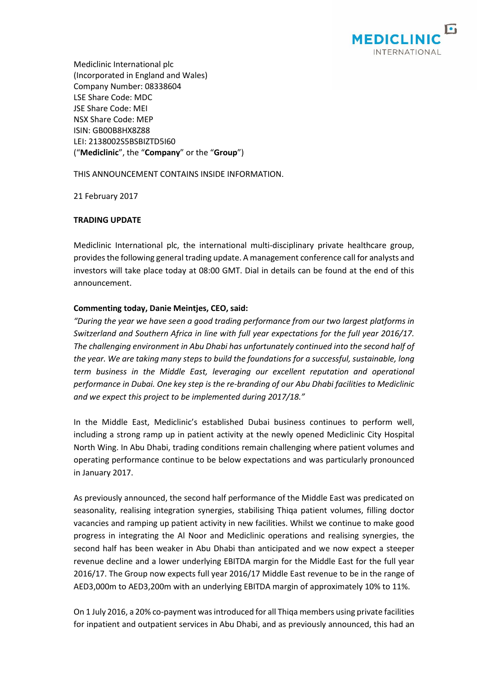

Mediclinic International plc (Incorporated in England and Wales) Company Number: 08338604 LSE Share Code: MDC JSE Share Code: MEI NSX Share Code: MEP ISIN: GB00B8HX8Z88 LEI: 2138002S5BSBIZTD5I60 ("**Mediclinic**", the "**Company**" or the "**Group**")

THIS ANNOUNCEMENT CONTAINS INSIDE INFORMATION.

21 February 2017

## **TRADING UPDATE**

Mediclinic International plc, the international multi-disciplinary private healthcare group, provides the following general trading update. A management conference call for analysts and investors will take place today at 08:00 GMT. Dial in details can be found at the end of this announcement.

## **Commenting today, Danie Meintjes, CEO, said:**

"During the year we have seen a good trading performance from our two largest platforms in *Switzerland and Southern Africa in line with full year expectations for the full year 2016/17. The challenging environment in Abu Dhabi has unfortunately continued into the second half of the year. We are taking many steps to build the foundations for a successful, sustainable, long term business in the Middle East, leveraging our excellent reputation and operational performance in Dubai. One key step is the re-branding of our Abu Dhabi facilities to Mediclinic and we expect this project to be implemented during 2017/18."*

In the Middle East, Mediclinic's established Dubai business continues to perform well, including a strong ramp up in patient activity at the newly opened Mediclinic City Hospital North Wing. In Abu Dhabi, trading conditions remain challenging where patient volumes and operating performance continue to be below expectations and was particularly pronounced in January 2017.

As previously announced, the second half performance of the Middle East was predicated on seasonality, realising integration synergies, stabilising Thiqa patient volumes, filling doctor vacancies and ramping up patient activity in new facilities. Whilst we continue to make good progress in integrating the Al Noor and Mediclinic operations and realising synergies, the second half has been weaker in Abu Dhabi than anticipated and we now expect a steeper revenue decline and a lower underlying EBITDA margin for the Middle East for the full year 2016/17. The Group now expects full year 2016/17 Middle East revenue to be in the range of AED3,000m to AED3,200m with an underlying EBITDA margin of approximately 10% to 11%.

On 1 July 2016, a 20% co-payment was introduced for all Thiqa members using private facilities for inpatient and outpatient services in Abu Dhabi, and as previously announced, this had an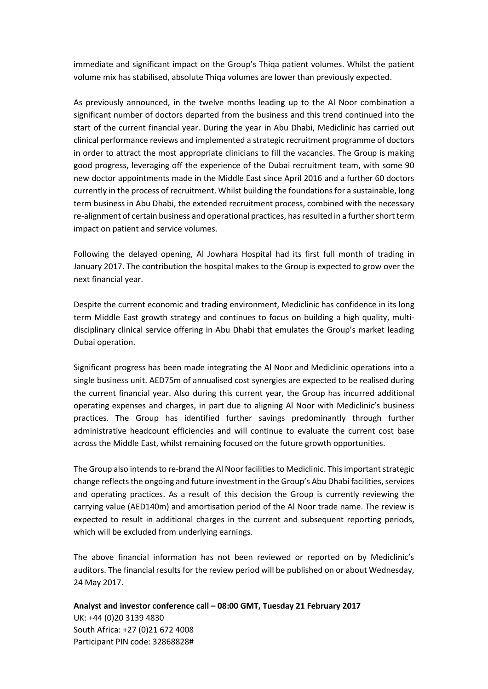immediate and significant impact on the Group's Thiqa patient volumes. Whilst the patient volume mix has stabilised, absolute Thiqa volumes are lower than previously expected.

As previously announced, in the twelve months leading up to the Al Noor combination a significant number of doctors departed from the business and this trend continued into the start of the current financial year. During the year in Abu Dhabi, Mediclinic has carried out clinical performance reviews and implemented a strategic recruitment programme of doctors in order to attract the most appropriate clinicians to fill the vacancies. The Group is making good progress, leveraging off the experience of the Dubai recruitment team, with some 90 new doctor appointments made in the Middle East since April 2016 and a further 60 doctors currently in the process of recruitment. Whilst building the foundations for a sustainable, long term business in Abu Dhabi, the extended recruitment process, combined with the necessary re-alignment of certain business and operational practices, has resulted in a further short term impact on patient and service volumes.

Following the delayed opening, Al Jowhara Hospital had its first full month of trading in January 2017. The contribution the hospital makes to the Group is expected to grow over the next financial year.

Despite the current economic and trading environment, Mediclinic has confidence in its long term Middle East growth strategy and continues to focus on building a high quality, multidisciplinary clinical service offering in Abu Dhabi that emulates the Group's market leading Dubai operation.

Significant progress has been made integrating the Al Noor and Mediclinic operations into a single business unit. AED75m of annualised cost synergies are expected to be realised during the current financial year. Also during this current year, the Group has incurred additional operating expenses and charges, in part due to aligning Al Noor with Mediclinic's business practices. The Group has identified further savings predominantly through further administrative headcount efficiencies and will continue to evaluate the current cost base across the Middle East, whilst remaining focused on the future growth opportunities.

The Group also intends to re-brand the Al Noor facilities to Mediclinic. This important strategic change reflects the ongoing and future investment in the Group's Abu Dhabi facilities, services and operating practices. As a result of this decision the Group is currently reviewing the carrying value (AED140m) and amortisation period of the Al Noor trade name. The review is expected to result in additional charges in the current and subsequent reporting periods, which will be excluded from underlying earnings.

The above financial information has not been reviewed or reported on by Mediclinic's auditors. The financial results for the review period will be published on or about Wednesday, 24 May 2017.

**Analyst and investor conference call – 08:00 GMT, Tuesday 21 February 2017** UK: +44 (0)20 3139 4830 South Africa: +27 (0)21 672 4008 Participant PIN code: 32868828#